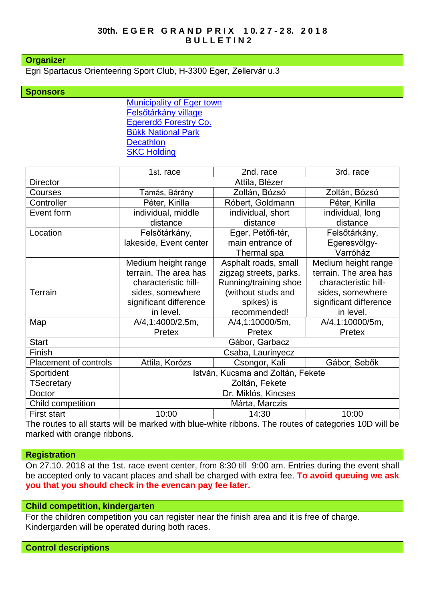#### **Organizer**

Egri Spartacus Orienteering Sport Club, H-3300 Eger, Zellervár u.3

## **Sponsors**

[Municipality of Eger town](http://varos.eger.hu/) [Felsőtárkány village](http://www.felsotarkany.hu/) [Egererdő Forestry Co.](http://client4.springmedia.hu/) [Bükk National](https://www.bnpi.hu/) Park **Decathlon [SKC Holding](https://skc.hu/)** 

|                       | 1st. race                         | 2nd. race                | 3rd. race                              |
|-----------------------|-----------------------------------|--------------------------|----------------------------------------|
| <b>Director</b>       | Attila, Blézer                    |                          |                                        |
| Courses               | Tamás, Bárány                     | Zoltán, Bózsó            | Zoltán, Bózsó                          |
| Controller            | Péter, Kirilla                    | Róbert, Goldmann         | Péter, Kirilla                         |
| Event form            | individual, middle                | individual, short        | individual, long                       |
|                       | distance                          | distance                 | distance                               |
| Location              | Felsőtárkány,                     | Eger, Petőfi-tér,        | Felsőtárkány,                          |
|                       | lakeside, Event center            | main entrance of         | Egeresvölgy-                           |
|                       |                                   | Thermal spa              | Varróház                               |
|                       | Medium height range               | Asphalt roads, small     | Medium height range                    |
|                       | terrain. The area has             | zigzag streets, parks.   | terrain. The area has                  |
|                       | characteristic hill-              | Running/training shoe    | characteristic hill-                   |
| <b>Terrain</b>        | sides, somewhere                  | (without studs and       | sides, somewhere                       |
|                       | significant difference            | spikes) is               | significant difference                 |
|                       | in level.                         | recommended!             | in level.                              |
| Map                   | A/4,1:4000/2.5m,                  | A/4,1:10000/5m,          | A/4,1:10000/5m,                        |
|                       | Pretex                            | Pretex                   | Pretex                                 |
| <b>Start</b>          | Gábor, Garbacz                    |                          |                                        |
| Finish                | Csaba, Laurinyecz                 |                          |                                        |
| Placement of controls | Attila, Korózs                    | Csongor, Kali            | Gábor, Sebők                           |
| Sportident            | István, Kucsma and Zoltán, Fekete |                          |                                        |
| <b>TSecretary</b>     | Zoltán, Fekete                    |                          |                                        |
| Doctor                | Dr. Miklós, Kincses               |                          |                                        |
| Child competition     | Márta, Marczis                    |                          |                                        |
| First start           | 10:00<br>.                        | 14:30<br>$\cdots$<br>. . | 10:00<br>$\overline{\phantom{a}}$<br>. |

The routes to all starts will be marked with blue-white ribbons. The routes of categories 10D will be marked with orange ribbons.

## **Registration**

On 27.10. 2018 at the 1st. race event center, from 8:30 till 9:00 am. Entries during the event shall be accepted only to vacant places and shall be charged with extra fee. **To avoid queuing we ask you that you should check in the evencan pay fee later.**

## **Child competition, kindergarten**

For the children competition you can register near the finish area and it is free of charge. Kindergarden will be operated during both races.

#### **Control descriptions**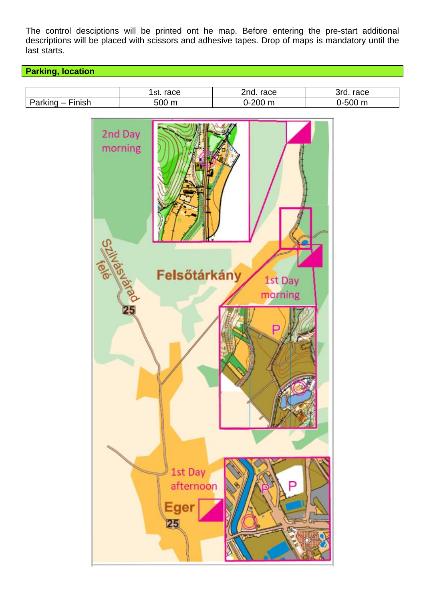The control desciptions will be printed ont he map. Before entering the pre-start additional descriptions will be placed with scissors and adhesive tapes. Drop of maps is mandatory until the last starts.

# **Parking, location**

|                                   | st<br>race | 2.2<br>race<br>.                      | ົົ້<br>race                |
|-----------------------------------|------------|---------------------------------------|----------------------------|
| .inich<br><br>וסוי.<br>_<br>ainli | - ^ ^<br>r | $\sim$ $\sim$<br><b>SOME</b><br><br>ш | - ^ ^<br>m<br>וו הר<br>. . |

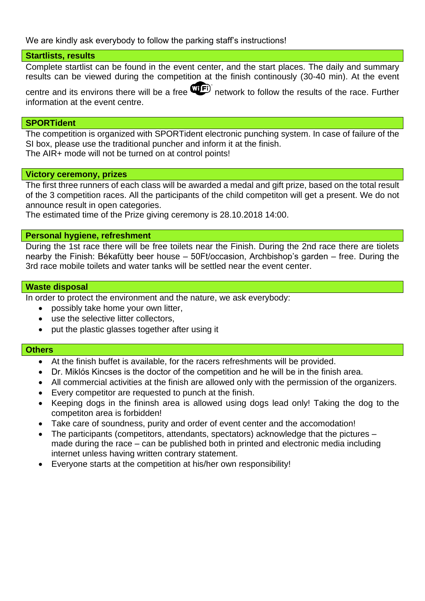We are kindly ask everybody to follow the parking staff's instructions!

# **Startlists, results**

Complete startlist can be found in the event center, and the start places. The daily and summary results can be viewed during the competition at the finish continously (30-40 min). At the event

centre and its environs there will be a free  $\mathbf{Q}$  network to follow the results of the race. Further information at the event centre.

## **SPORTident**

The competition is organized with SPORTident electronic punching system. In case of failure of the SI box, please use the traditional puncher and inform it at the finish. The AIR+ mode will not be turned on at control points!

# **Victory ceremony, prizes**

The first three runners of each class will be awarded a medal and gift prize, based on the total result of the 3 competition races. All the participants of the child competiton will get a present. We do not announce result in open categories.

The estimated time of the Prize giving ceremony is 28.10.2018 14:00.

## **Personal hygiene, refreshment**

During the 1st race there will be free toilets near the Finish. During the 2nd race there are tiolets nearby the Finish: Békafütty beer house – 50Ft/occasion, Archbishop's garden – free. During the 3rd race mobile toilets and water tanks will be settled near the event center.

## **Waste disposal**

In order to protect the environment and the nature, we ask everybody:

- possibly take home your own litter,
- use the selective litter collectors,
- put the plastic glasses together after using it

## **Others**

- At the finish buffet is available, for the racers refreshments will be provided.
- Dr. Miklós Kincses is the doctor of the competition and he will be in the finish area.
- All commercial activities at the finish are allowed only with the permission of the organizers.
- Every competitor are requested to punch at the finish.
- Keeping dogs in the fininsh area is allowed using dogs lead only! Taking the dog to the competiton area is forbidden!
- Take care of soundness, purity and order of event center and the accomodation!
- The participants (competitors, attendants, spectators) acknowledge that the pictures made during the race – can be published both in printed and electronic media including internet unless having written contrary statement.
- Everyone starts at the competition at his/her own responsibility!